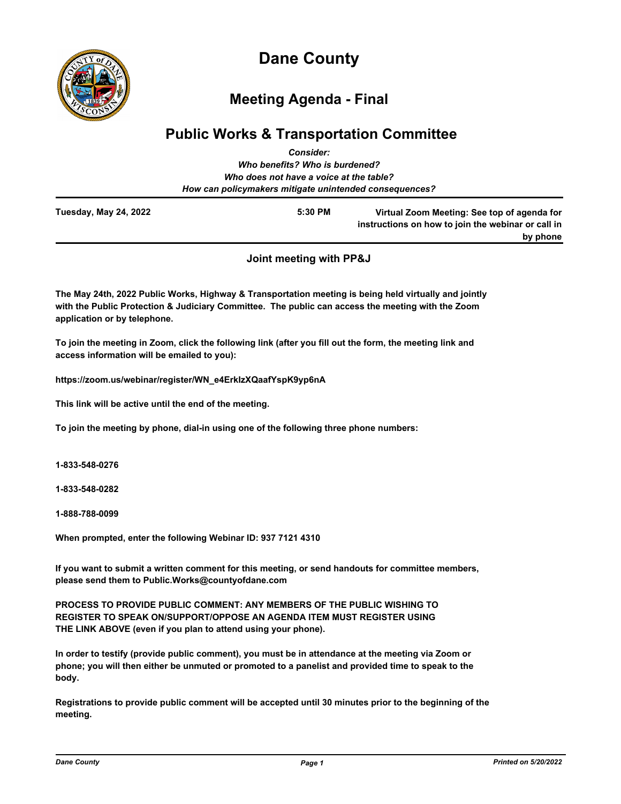

# **Dane County**

# **Meeting Agenda - Final**

## **Public Works & Transportation Committee** *Consider:*

|                       | vviisiuci .                                            |                                                                                                               |
|-----------------------|--------------------------------------------------------|---------------------------------------------------------------------------------------------------------------|
|                       | Who benefits? Who is burdened?                         |                                                                                                               |
|                       | Who does not have a voice at the table?                |                                                                                                               |
|                       | How can policymakers mitigate unintended consequences? |                                                                                                               |
| Tuesday, May 24, 2022 | 5:30 PM                                                | Virtual Zoom Meeting: See top of agenda for<br>instructions on how to join the webinar or call in<br>by phone |
|                       |                                                        |                                                                                                               |

**Joint meeting with PP&J**

**The May 24th, 2022 Public Works, Highway & Transportation meeting is being held virtually and jointly with the Public Protection & Judiciary Committee. The public can access the meeting with the Zoom application or by telephone.**

**To join the meeting in Zoom, click the following link (after you fill out the form, the meeting link and access information will be emailed to you):** 

**https://zoom.us/webinar/register/WN\_e4ErkIzXQaafYspK9yp6nA**

**This link will be active until the end of the meeting.**

**To join the meeting by phone, dial-in using one of the following three phone numbers:**

**1-833-548-0276**

**1-833-548-0282**

**1-888-788-0099**

**When prompted, enter the following Webinar ID: 937 7121 4310**

**If you want to submit a written comment for this meeting, or send handouts for committee members, please send them to Public.Works@countyofdane.com**

**PROCESS TO PROVIDE PUBLIC COMMENT: ANY MEMBERS OF THE PUBLIC WISHING TO REGISTER TO SPEAK ON/SUPPORT/OPPOSE AN AGENDA ITEM MUST REGISTER USING THE LINK ABOVE (even if you plan to attend using your phone).** 

**In order to testify (provide public comment), you must be in attendance at the meeting via Zoom or phone; you will then either be unmuted or promoted to a panelist and provided time to speak to the body.**

**Registrations to provide public comment will be accepted until 30 minutes prior to the beginning of the meeting.**